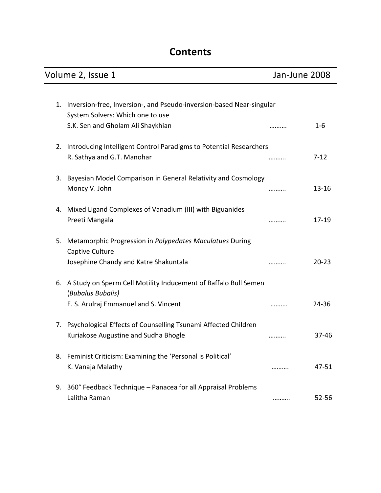# **Contents**

| Volume 2, Issue 1 |                                                                                                                                  | Jan-June 2008 |           |
|-------------------|----------------------------------------------------------------------------------------------------------------------------------|---------------|-----------|
| 1.                | Inversion-free, Inversion-, and Pseudo-inversion-based Near-singular<br>System Solvers: Which one to use                         |               |           |
|                   | S.K. Sen and Gholam Ali Shaykhian                                                                                                | .             | $1 - 6$   |
| 2.                | Introducing Intelligent Control Paradigms to Potential Researchers<br>R. Sathya and G.T. Manohar                                 |               | $7 - 12$  |
| 3.                | Bayesian Model Comparison in General Relativity and Cosmology<br>Moncy V. John                                                   |               | $13 - 16$ |
| 4.                | Mixed Ligand Complexes of Vanadium (III) with Biguanides<br>Preeti Mangala                                                       |               | $17 - 19$ |
| 5.                | Metamorphic Progression in Polypedates Maculatues During<br>Captive Culture<br>Josephine Chandy and Katre Shakuntala             | .             | $20 - 23$ |
|                   | 6. A Study on Sperm Cell Motility Inducement of Baffalo Bull Semen<br>(Bubalus Bubalis)<br>E. S. Arulraj Emmanuel and S. Vincent | .             | 24-36     |
| 7.                | Psychological Effects of Counselling Tsunami Affected Children<br>Kuriakose Augustine and Sudha Bhogle                           |               | 37-46     |
| 8.                | Feminist Criticism: Examining the 'Personal is Political'<br>K. Vanaja Malathy                                                   |               | 47-51     |
|                   | 9. 360° Feedback Technique - Panacea for all Appraisal Problems<br>Lalitha Raman                                                 |               | 52-56     |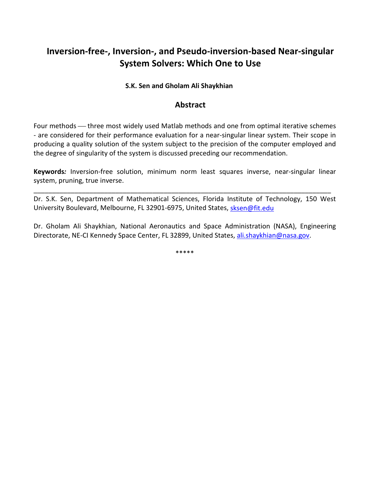# **Inversion-free-, Inversion-, and Pseudo-inversion-based Near-singular System Solvers: Which One to Use**

#### **S.K. Sen and Gholam Ali Shaykhian**

### **Abstract**

Four methods — three most widely used Matlab methods and one from optimal iterative schemes - are considered for their performance evaluation for a near-singular linear system. Their scope in producing a quality solution of the system subject to the precision of the computer employed and the degree of singularity of the system is discussed preceding our recommendation.

**Keywords***:* Inversion-free solution, minimum norm least squares inverse, near-singular linear system, pruning, true inverse.

Dr. S.K. Sen, Department of Mathematical Sciences, Florida Institute of Technology, 150 West University Boulevard, Melbourne, FL 32901-6975, United States, sksen@fit.edu

\_\_\_\_\_\_\_\_\_\_\_\_\_\_\_\_\_\_\_\_\_\_\_\_\_\_\_\_\_\_\_\_\_\_\_\_\_\_\_\_\_\_\_\_\_\_\_\_\_\_\_\_\_\_\_\_\_\_\_\_\_\_\_\_\_\_\_\_\_\_\_\_\_\_\_\_\_\_\_\_

Dr. Gholam Ali Shaykhian, National Aeronautics and Space Administration (NASA), Engineering Directorate, NE-CI Kennedy Space Center, FL 32899, United States, ali.shaykhian@nasa.gov.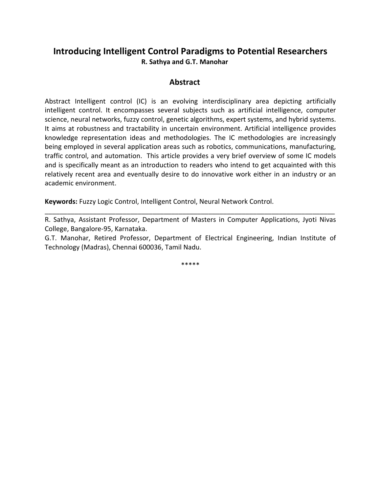## **Introducing Intelligent Control Paradigms to Potential Researchers R. Sathya and G.T. Manohar**

### **Abstract**

Abstract Intelligent control (IC) is an evolving interdisciplinary area depicting artificially intelligent control. It encompasses several subjects such as artificial intelligence, computer science, neural networks, fuzzy control, genetic algorithms, expert systems, and hybrid systems. It aims at robustness and tractability in uncertain environment. Artificial intelligence provides knowledge representation ideas and methodologies. The IC methodologies are increasingly being employed in several application areas such as robotics, communications, manufacturing, traffic control, and automation. This article provides a very brief overview of some IC models and is specifically meant as an introduction to readers who intend to get acquainted with this relatively recent area and eventually desire to do innovative work either in an industry or an academic environment.

**Keywords:** Fuzzy Logic Control, Intelligent Control, Neural Network Control.

R. Sathya, Assistant Professor, Department of Masters in Computer Applications, Jyoti Nivas College, Bangalore-95, Karnataka.

\_\_\_\_\_\_\_\_\_\_\_\_\_\_\_\_\_\_\_\_\_\_\_\_\_\_\_\_\_\_\_\_\_\_\_\_\_\_\_\_\_\_\_\_\_\_\_\_\_\_\_\_\_\_\_\_\_\_\_\_\_\_\_\_\_\_\_\_\_\_\_\_\_\_\_\_\_\_

G.T. Manohar, Retired Professor, Department of Electrical Engineering, Indian Institute of Technology (Madras), Chennai 600036, Tamil Nadu.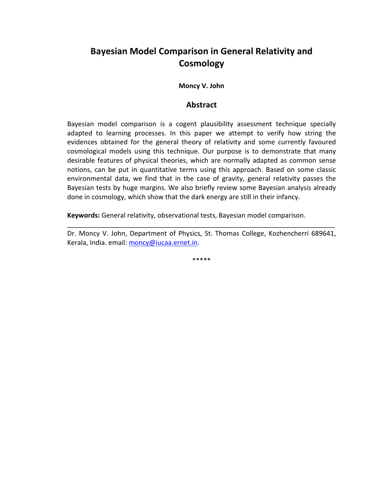# **Bayesian Model Comparison in General Relativity and Cosmology**

#### **Moncy V. John**

#### **Abstract**

Bayesian model comparison is a cogent plausibility assessment technique specially adapted to learning processes. In this paper we attempt to verify how string the evidences obtained for the general theory of relativity and some currently favoured cosmological models using this technique. Our purpose is to demonstrate that many desirable features of physical theories, which are normally adapted as common sense notions, can be put in quantitative terms using this approach. Based on some classic environmental data, we find that in the case of gravity, general relativity passes the Bayesian tests by huge margins. We also briefly review some Bayesian analysis already done in cosmology, which show that the dark energy are still in their infancy.

**Keywords:** General relativity, observational tests, Bayesian model comparison.

Dr. Moncy V. John, Department of Physics, St. Thomas College, Kozhencherri 689641, Kerala, India. email: moncy@iucaa.ernet.in.

\_\_\_\_\_\_\_\_\_\_\_\_\_\_\_\_\_\_\_\_\_\_\_\_\_\_\_\_\_\_\_\_\_\_\_\_\_\_\_\_\_\_\_\_\_\_\_\_\_\_\_\_\_\_\_\_\_\_\_\_\_\_\_\_\_\_\_\_\_\_\_\_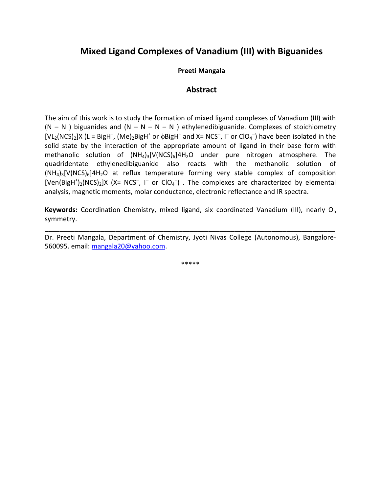## **Mixed Ligand Complexes of Vanadium (III) with Biguanides**

#### **Preeti Mangala**

### **Abstract**

The aim of this work is to study the formation of mixed ligand complexes of Vanadium (III) with  $(N - N)$  biguanides and  $(N - N - N - N)$  ethylenedibiguanide. Complexes of stoichiometry [VL<sub>2</sub>(NCS)<sub>2</sub>]X (L = BigH<sup>+</sup>, (Me)<sub>2</sub>BigH<sup>+</sup> or  $\phi$ BigH<sup>+</sup> and X= NCS<sup>-</sup>, I<sup>-</sup> or ClO<sub>4</sub><sup>-</sup>) have been isolated in the solid state by the interaction of the appropriate amount of ligand in their base form with methanolic solution of  $(NH_4)_3[V(NCS)_6]4H_2O$  under pure nitrogen atmosphere. The quadridentate ethylenedibiguanide also reacts with the methanolic solution of  $(NH_4)_3[V(NCS)_6]4H_2O$  at reflux temperature forming very stable complex of composition [Ven(BigH<sup>+</sup>)<sub>2</sub>(NCS)<sub>2</sub>]X (X= NCS<sup>-</sup>, I<sup>-</sup> or CIO<sub>4</sub><sup>-</sup>). The complexes are characterized by elemental analysis, magnetic moments, molar conductance, electronic reflectance and IR spectra.

**Keywords:** Coordination Chemistry, mixed ligand, six coordinated Vanadium (III), nearly O<sup>h</sup> symmetry.

Dr. Preeti Mangala, Department of Chemistry, Jyoti Nivas College (Autonomous), Bangalore-560095. email: mangala20@yahoo.com.

\_\_\_\_\_\_\_\_\_\_\_\_\_\_\_\_\_\_\_\_\_\_\_\_\_\_\_\_\_\_\_\_\_\_\_\_\_\_\_\_\_\_\_\_\_\_\_\_\_\_\_\_\_\_\_\_\_\_\_\_\_\_\_\_\_\_\_\_\_\_\_\_\_\_\_\_\_\_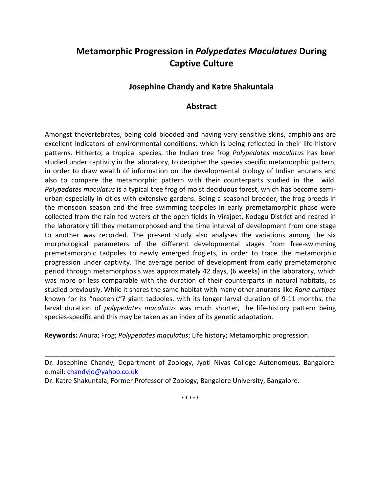# **Metamorphic Progression in** *Polypedates Maculatues* **During Captive Culture**

## **Josephine Chandy and Katre Shakuntala**

## **Abstract**

Amongst thevertebrates, being cold blooded and having very sensitive skins, amphibians are excellent indicators of environmental conditions, which is being reflected in their life-history patterns. Hitherto, a tropical species, the Indian tree frog *Polypedates maculatus* has been studied under captivity in the laboratory, to decipher the species specific metamorphic pattern, in order to draw wealth of information on the developmental biology of Indian anurans and also to compare the metamorphic pattern with their counterparts studied in the wild. *Polypedates maculatus* is a typical tree frog of moist deciduous forest, which has become semiurban especially in cities with extensive gardens. Being a seasonal breeder, the frog breeds in the monsoon season and the free swimming tadpoles in early premetamorphic phase were collected from the rain fed waters of the open fields in Virajpet, Kodagu District and reared in the laboratory till they metamorphosed and the time interval of development from one stage to another was recorded. The present study also analyses the variations among the six morphological parameters of the different developmental stages from free-swimming premetamorphic tadpoles to newly emerged froglets, in order to trace the metamorphic progression under captivity. The average period of development from early premetamorphic period through metamorphosis was approximately 42 days, (6 weeks) in the laboratory, which was more or less comparable with the duration of their counterparts in natural habitats, as studied previously. While it shares the same habitat with many other anurans like *Rana curtipes*  known for its "neotenic"? giant tadpoles, with its longer larval duration of 9-11 months, the larval duration of *polypedates maculatus* was much shorter, the life-history pattern being species-specific and this may be taken as an index of its genetic adaptation.

**Keywords:** Anura; Frog; *Polypedates maculatus*; Life history; Metamorphic progression.

Dr. Josephine Chandy, Department of Zoology, Jyoti Nivas College Autonomous, Bangalore. e.mail: chandyjo@yahoo.co.uk

\_\_\_\_\_\_\_\_\_\_\_\_\_\_\_\_\_\_\_\_\_\_\_\_\_\_\_\_\_\_\_\_\_\_\_\_\_\_\_\_\_\_\_\_\_\_\_\_\_\_\_\_\_\_\_\_\_\_\_\_\_\_\_\_\_\_\_\_\_\_\_\_\_\_\_\_\_\_

Dr. Katre Shakuntala, Former Professor of Zoology, Bangalore University, Bangalore.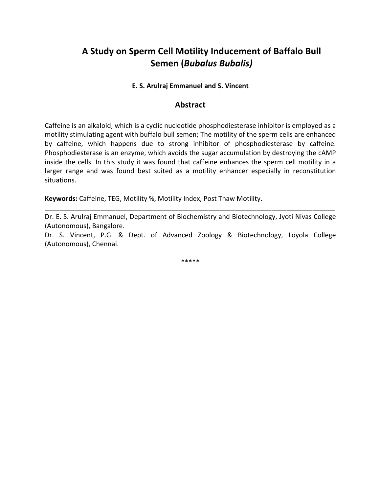# **A Study on Sperm Cell Motility Inducement of Baffalo Bull Semen (***Bubalus Bubalis)*

#### **E. S. Arulraj Emmanuel and S. Vincent**

#### **Abstract**

Caffeine is an alkaloid, which is a cyclic nucleotide phosphodiesterase inhibitor is employed as a motility stimulating agent with buffalo bull semen; The motility of the sperm cells are enhanced by caffeine, which happens due to strong inhibitor of phosphodiesterase by caffeine. Phosphodiesterase is an enzyme, which avoids the sugar accumulation by destroying the cAMP inside the cells. In this study it was found that caffeine enhances the sperm cell motility in a larger range and was found best suited as a motility enhancer especially in reconstitution situations.

**Keywords:** Caffeine, TEG, Motility %, Motility Index, Post Thaw Motility.

Dr. E. S. Arulraj Emmanuel, Department of Biochemistry and Biotechnology, Jyoti Nivas College (Autonomous), Bangalore.

\_\_\_\_\_\_\_\_\_\_\_\_\_\_\_\_\_\_\_\_\_\_\_\_\_\_\_\_\_\_\_\_\_\_\_\_\_\_\_\_\_\_\_\_\_\_\_\_\_\_\_\_\_\_\_\_\_\_\_\_\_\_\_\_\_\_\_\_\_\_\_\_\_\_\_\_\_\_

Dr. S. Vincent, P.G. & Dept. of Advanced Zoology & Biotechnology, Loyola College (Autonomous), Chennai.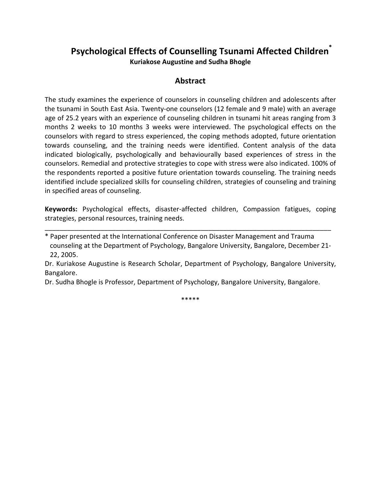## **Psychological Effects of Counselling Tsunami Affected Children\* Kuriakose Augustine and Sudha Bhogle**

## **Abstract**

The study examines the experience of counselors in counseling children and adolescents after the tsunami in South East Asia. Twenty-one counselors (12 female and 9 male) with an average age of 25.2 years with an experience of counseling children in tsunami hit areas ranging from 3 months 2 weeks to 10 months 3 weeks were interviewed. The psychological effects on the counselors with regard to stress experienced, the coping methods adopted, future orientation towards counseling, and the training needs were identified. Content analysis of the data indicated biologically, psychologically and behaviourally based experiences of stress in the counselors. Remedial and protective strategies to cope with stress were also indicated. 100% of the respondents reported a positive future orientation towards counseling. The training needs identified include specialized skills for counseling children, strategies of counseling and training in specified areas of counseling.

**Keywords:** Psychological effects, disaster-affected children, Compassion fatigues, coping strategies, personal resources, training needs.

\_\_\_\_\_\_\_\_\_\_\_\_\_\_\_\_\_\_\_\_\_\_\_\_\_\_\_\_\_\_\_\_\_\_\_\_\_\_\_\_\_\_\_\_\_\_\_\_\_\_\_\_\_\_\_\_\_\_\_\_\_\_\_\_\_\_\_\_\_\_\_\_\_\_\_\_\_

Dr. Sudha Bhogle is Professor, Department of Psychology, Bangalore University, Bangalore.

<sup>\*</sup> Paper presented at the International Conference on Disaster Management and Trauma counseling at the Department of Psychology, Bangalore University, Bangalore, December 21- 22, 2005.

Dr. Kuriakose Augustine is Research Scholar, Department of Psychology, Bangalore University, Bangalore.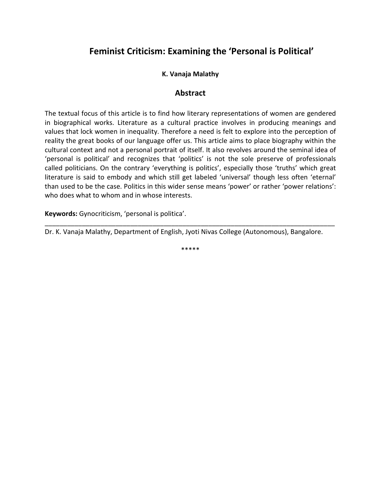## **Feminist Criticism: Examining the 'Personal is Political'**

## **K. Vanaja Malathy**

### **Abstract**

The textual focus of this article is to find how literary representations of women are gendered in biographical works. Literature as a cultural practice involves in producing meanings and values that lock women in inequality. Therefore a need is felt to explore into the perception of reality the great books of our language offer us. This article aims to place biography within the cultural context and not a personal portrait of itself. It also revolves around the seminal idea of 'personal is political' and recognizes that 'politics' is not the sole preserve of professionals called politicians. On the contrary 'everything is politics', especially those 'truths' which great literature is said to embody and which still get labeled 'universal' though less often 'eternal' than used to be the case. Politics in this wider sense means 'power' or rather 'power relations': who does what to whom and in whose interests.

**Keywords:** Gynocriticism, 'personal is politica'.

Dr. K. Vanaja Malathy, Department of English, Jyoti Nivas College (Autonomous), Bangalore.

\*\*\*\*\*

\_\_\_\_\_\_\_\_\_\_\_\_\_\_\_\_\_\_\_\_\_\_\_\_\_\_\_\_\_\_\_\_\_\_\_\_\_\_\_\_\_\_\_\_\_\_\_\_\_\_\_\_\_\_\_\_\_\_\_\_\_\_\_\_\_\_\_\_\_\_\_\_\_\_\_\_\_\_